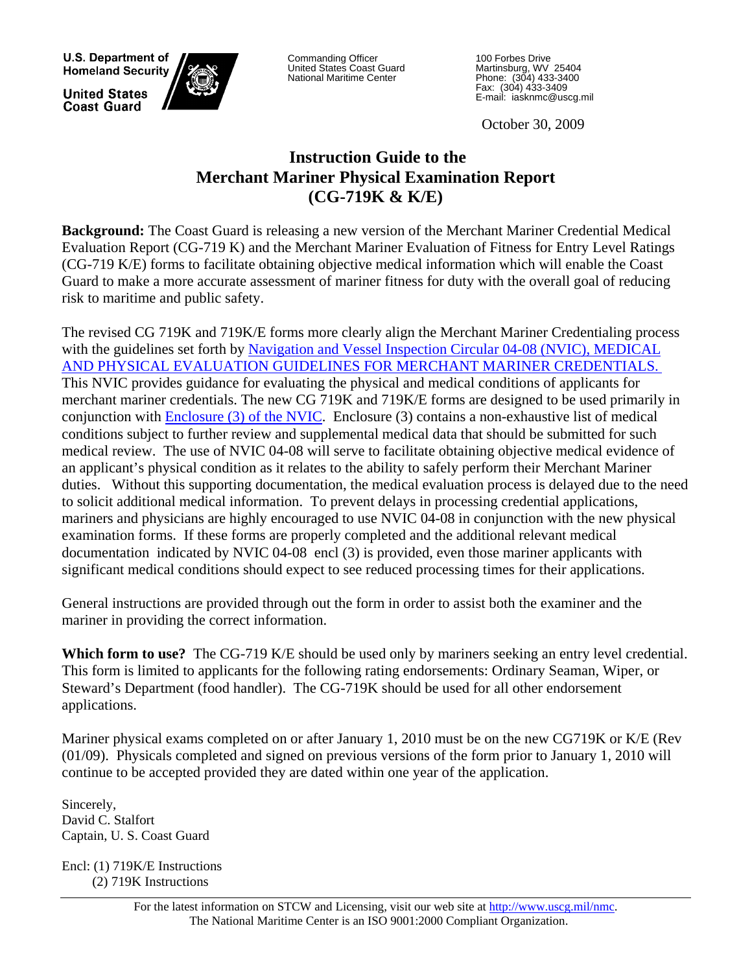U.S. Department of **Homeland Security** 

**United States Coast Guard** 



Commanding Officer<br>United States Coast Guard National Maritime Center

100 Forbes Drive Martinsburg, WV 25404 Phone: (304) 433-3400 Fax: (304) 433-3409 E-mail: iasknmc@uscg.mil

October 30, 2009

# **Instruction Guide to the Merchant Mariner Physical Examination Report (CG-719K & K/E)**

**Background:** The Coast Guard is releasing a new version of the Merchant Mariner Credential Medical Evaluation Report (CG-719 K) and the Merchant Mariner Evaluation of Fitness for Entry Level Ratings (CG-719 K/E) forms to facilitate obtaining objective medical information which will enable the Coast Guard to make a more accurate assessment of mariner fitness for duty with the overall goal of reducing risk to maritime and public safety.

The revised CG 719K and 719K/E forms more clearly align the Merchant Mariner Credentialing process with the guidelines set forth by Navigation and Vessel Inspection Circular 04-08 (NVIC), MEDICAL [AND PHYSICAL EVALUATION GUIDELINES FOR MERCHANT MARINER CREDENTIALS.](http://www.uscg.mil/hq/cg5/nvic/pdf/2008/NVIC%2004-08%20CH%201%20with%20Enclosures%2020130607.pdf)  This NVIC provides guidance for evaluating the physical and medical conditions of applicants for merchant mariner credentials. The new CG 719K and 719K/E forms are designed to be used primarily in conjunction with [Enclosure \(3\) of the NVIC](http://www.uscg.mil/hq/cg5/nvic/pdf/2008/NVIC%2004-08%20CH%201%20with%20Enclosures%2020130607.pdf). Enclosure (3) contains a non-exhaustive list of medical conditions subject to further review and supplemental medical data that should be submitted for such medical review. The use of NVIC 04-08 will serve to facilitate obtaining objective medical evidence of an applicant's physical condition as it relates to the ability to safely perform their Merchant Mariner duties. Without this supporting documentation, the medical evaluation process is delayed due to the need to solicit additional medical information. To prevent delays in processing credential applications, mariners and physicians are highly encouraged to use NVIC 04-08 in conjunction with the new physical examination forms. If these forms are properly completed and the additional relevant medical documentation indicated by NVIC 04-08 encl (3) is provided, even those mariner applicants with significant medical conditions should expect to see reduced processing times for their applications.

General instructions are provided through out the form in order to assist both the examiner and the mariner in providing the correct information.

**Which form to use?** The CG-719 K/E should be used only by mariners seeking an entry level credential. This form is limited to applicants for the following rating endorsements: Ordinary Seaman, Wiper, or Steward's Department (food handler). The CG-719K should be used for all other endorsement applications.

Mariner physical exams completed on or after January 1, 2010 must be on the new CG719K or K/E (Rev (01/09). Physicals completed and signed on previous versions of the form prior to January 1, 2010 will continue to be accepted provided they are dated within one year of the application.

Sincerely, David C. Stalfort Captain, U. S. Coast Guard

Encl: (1) 719K/E Instructions (2) 719K Instructions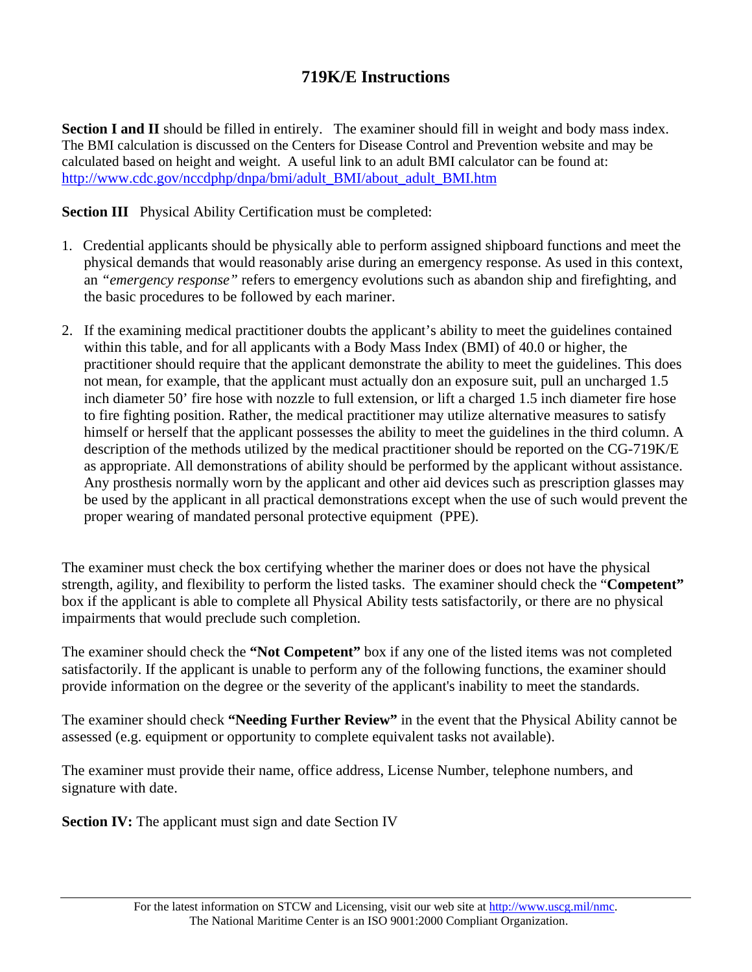# **719K/E Instructions**

**Section I and II** should be filled in entirely. The examiner should fill in weight and body mass index. The BMI calculation is discussed on the Centers for Disease Control and Prevention website and may be calculated based on height and weight. A useful link to an adult BMI calculator can be found at: [http://www.cdc.gov/nccdphp/dnpa/bmi/adult\\_BMI/about\\_adult\\_BMI.htm](http://www.cdc.gov/nccdphp/dnpa/bmi/adult_BMI/about_adult_BMI.htm)

**Section III** Physical Ability Certification must be completed:

- 1. Credential applicants should be physically able to perform assigned shipboard functions and meet the physical demands that would reasonably arise during an emergency response. As used in this context, an *"emergency response"* refers to emergency evolutions such as abandon ship and firefighting, and the basic procedures to be followed by each mariner.
- 2. If the examining medical practitioner doubts the applicant's ability to meet the guidelines contained within this table, and for all applicants with a Body Mass Index (BMI) of 40.0 or higher, the practitioner should require that the applicant demonstrate the ability to meet the guidelines. This does not mean, for example, that the applicant must actually don an exposure suit, pull an uncharged 1.5 inch diameter 50' fire hose with nozzle to full extension, or lift a charged 1.5 inch diameter fire hose to fire fighting position. Rather, the medical practitioner may utilize alternative measures to satisfy himself or herself that the applicant possesses the ability to meet the guidelines in the third column. A description of the methods utilized by the medical practitioner should be reported on the CG-719K/E as appropriate. All demonstrations of ability should be performed by the applicant without assistance. Any prosthesis normally worn by the applicant and other aid devices such as prescription glasses may be used by the applicant in all practical demonstrations except when the use of such would prevent the proper wearing of mandated personal protective equipment (PPE).

The examiner must check the box certifying whether the mariner does or does not have the physical strength, agility, and flexibility to perform the listed tasks. The examiner should check the "**Competent"** box if the applicant is able to complete all Physical Ability tests satisfactorily, or there are no physical impairments that would preclude such completion.

The examiner should check the **"Not Competent"** box if any one of the listed items was not completed satisfactorily. If the applicant is unable to perform any of the following functions, the examiner should provide information on the degree or the severity of the applicant's inability to meet the standards.

The examiner should check **"Needing Further Review"** in the event that the Physical Ability cannot be assessed (e.g. equipment or opportunity to complete equivalent tasks not available).

The examiner must provide their name, office address, License Number, telephone numbers, and signature with date.

**Section IV:** The applicant must sign and date Section IV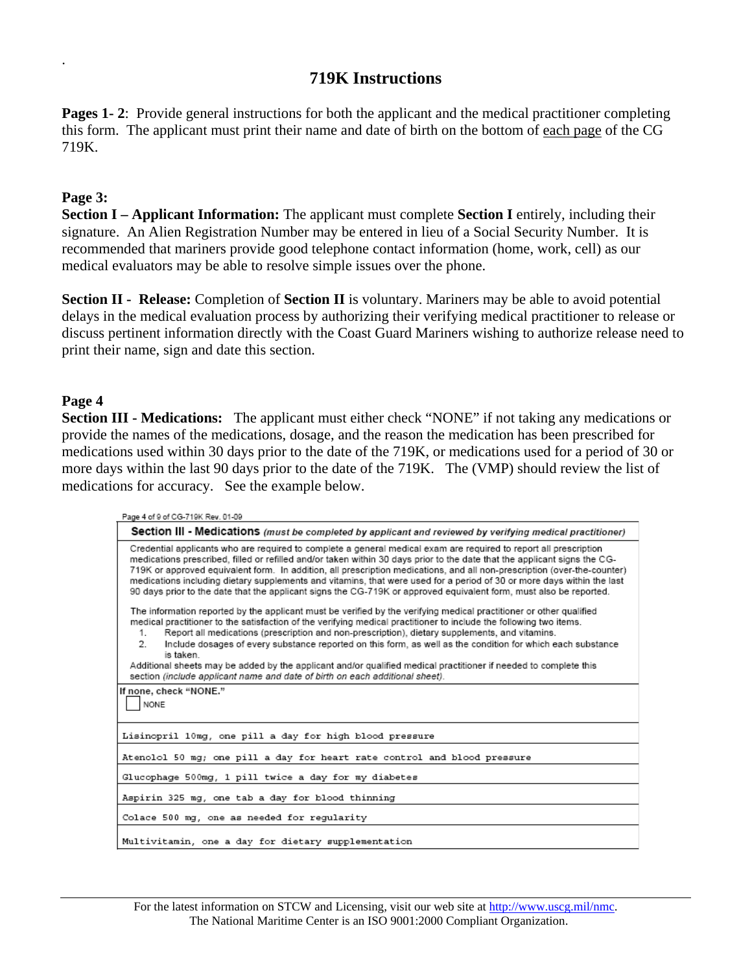# **719K Instructions**

**Pages 1-2:** Provide general instructions for both the applicant and the medical practitioner completing this form. The applicant must print their name and date of birth on the bottom of each page of the CG 719K.

#### **Page 3:**

.

**Section I – Applicant Information:** The applicant must complete **Section I** entirely, including their signature. An Alien Registration Number may be entered in lieu of a Social Security Number. It is recommended that mariners provide good telephone contact information (home, work, cell) as our medical evaluators may be able to resolve simple issues over the phone.

**Section II - Release:** Completion of **Section II** is voluntary. Mariners may be able to avoid potential delays in the medical evaluation process by authorizing their verifying medical practitioner to release or discuss pertinent information directly with the Coast Guard Mariners wishing to authorize release need to print their name, sign and date this section.

#### **Page 4**

**Section III - Medications:** The applicant must either check "NONE" if not taking any medications or provide the names of the medications, dosage, and the reason the medication has been prescribed for medications used within 30 days prior to the date of the 719K, or medications used for a period of 30 or more days within the last 90 days prior to the date of the 719K. The (VMP) should review the list of medications for accuracy. See the example below.

| Page 4 of 9 of CG-719K Rev. 01-09                                                                                                                                                                                                                                                                                                                                                                                                                                                                                                                                                                                                                                                       |  |  |  |  |  |  |
|-----------------------------------------------------------------------------------------------------------------------------------------------------------------------------------------------------------------------------------------------------------------------------------------------------------------------------------------------------------------------------------------------------------------------------------------------------------------------------------------------------------------------------------------------------------------------------------------------------------------------------------------------------------------------------------------|--|--|--|--|--|--|
| Section III - Medications (must be completed by applicant and reviewed by verifying medical practitioner)                                                                                                                                                                                                                                                                                                                                                                                                                                                                                                                                                                               |  |  |  |  |  |  |
| Credential applicants who are required to complete a general medical exam are required to report all prescription<br>medications prescribed, filled or refilled and/or taken within 30 days prior to the date that the applicant signs the CG-<br>719K or approved equivalent form. In addition, all prescription medications, and all non-prescription (over-the-counter)<br>medications including dietary supplements and vitamins, that were used for a period of 30 or more days within the last<br>90 days prior to the date that the applicant signs the CG-719K or approved equivalent form, must also be reported.                                                              |  |  |  |  |  |  |
| The information reported by the applicant must be verified by the verifying medical practitioner or other qualified<br>medical practitioner to the satisfaction of the verifying medical practitioner to include the following two items.<br>Report all medications (prescription and non-prescription), dietary supplements, and vitamins.<br>1.<br>Include dosages of every substance reported on this form, as well as the condition for which each substance<br>2.<br>is taken.<br>Additional sheets may be added by the applicant and/or qualified medical practitioner if needed to complete this<br>section (include applicant name and date of birth on each additional sheet). |  |  |  |  |  |  |
| If none, check "NONE."                                                                                                                                                                                                                                                                                                                                                                                                                                                                                                                                                                                                                                                                  |  |  |  |  |  |  |
| <b>NONE</b>                                                                                                                                                                                                                                                                                                                                                                                                                                                                                                                                                                                                                                                                             |  |  |  |  |  |  |
| Lisinopril 10mg, one pill a day for high blood pressure                                                                                                                                                                                                                                                                                                                                                                                                                                                                                                                                                                                                                                 |  |  |  |  |  |  |
| Atenolol 50 mg; one pill a day for heart rate control and blood pressure                                                                                                                                                                                                                                                                                                                                                                                                                                                                                                                                                                                                                |  |  |  |  |  |  |
| Glucophage 500mg, 1 pill twice a day for my diabetes                                                                                                                                                                                                                                                                                                                                                                                                                                                                                                                                                                                                                                    |  |  |  |  |  |  |
| Aspirin 325 mg, one tab a day for blood thinning                                                                                                                                                                                                                                                                                                                                                                                                                                                                                                                                                                                                                                        |  |  |  |  |  |  |
| Colace 500 mg, one as needed for reqularity                                                                                                                                                                                                                                                                                                                                                                                                                                                                                                                                                                                                                                             |  |  |  |  |  |  |
| Multivitamin, one a day for dietary supplementation                                                                                                                                                                                                                                                                                                                                                                                                                                                                                                                                                                                                                                     |  |  |  |  |  |  |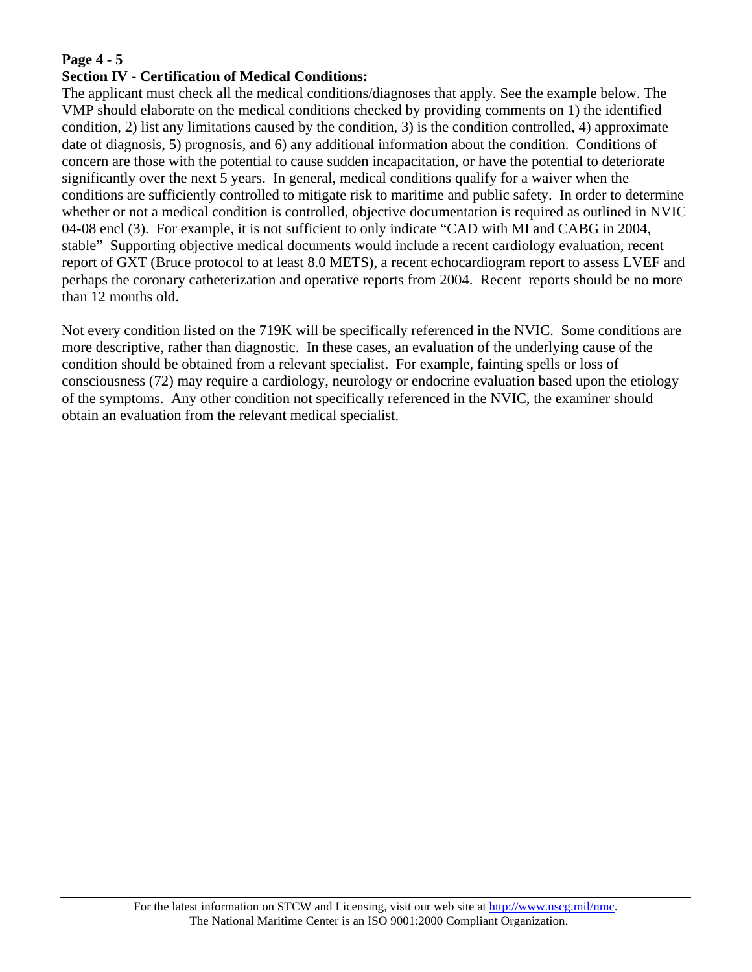## **Page 4 - 5**

#### **Section IV - Certification of Medical Conditions:**

The applicant must check all the medical conditions/diagnoses that apply. See the example below. The VMP should elaborate on the medical conditions checked by providing comments on 1) the identified condition, 2) list any limitations caused by the condition, 3) is the condition controlled, 4) approximate date of diagnosis, 5) prognosis, and 6) any additional information about the condition. Conditions of concern are those with the potential to cause sudden incapacitation, or have the potential to deteriorate significantly over the next 5 years. In general, medical conditions qualify for a waiver when the conditions are sufficiently controlled to mitigate risk to maritime and public safety. In order to determine whether or not a medical condition is controlled, objective documentation is required as outlined in NVIC 04-08 encl (3). For example, it is not sufficient to only indicate "CAD with MI and CABG in 2004, stable" Supporting objective medical documents would include a recent cardiology evaluation, recent report of GXT (Bruce protocol to at least 8.0 METS), a recent echocardiogram report to assess LVEF and perhaps the coronary catheterization and operative reports from 2004. Recent reports should be no more than 12 months old.

Not every condition listed on the 719K will be specifically referenced in the NVIC. Some conditions are more descriptive, rather than diagnostic. In these cases, an evaluation of the underlying cause of the condition should be obtained from a relevant specialist. For example, fainting spells or loss of consciousness (72) may require a cardiology, neurology or endocrine evaluation based upon the etiology of the symptoms. Any other condition not specifically referenced in the NVIC, the examiner should obtain an evaluation from the relevant medical specialist.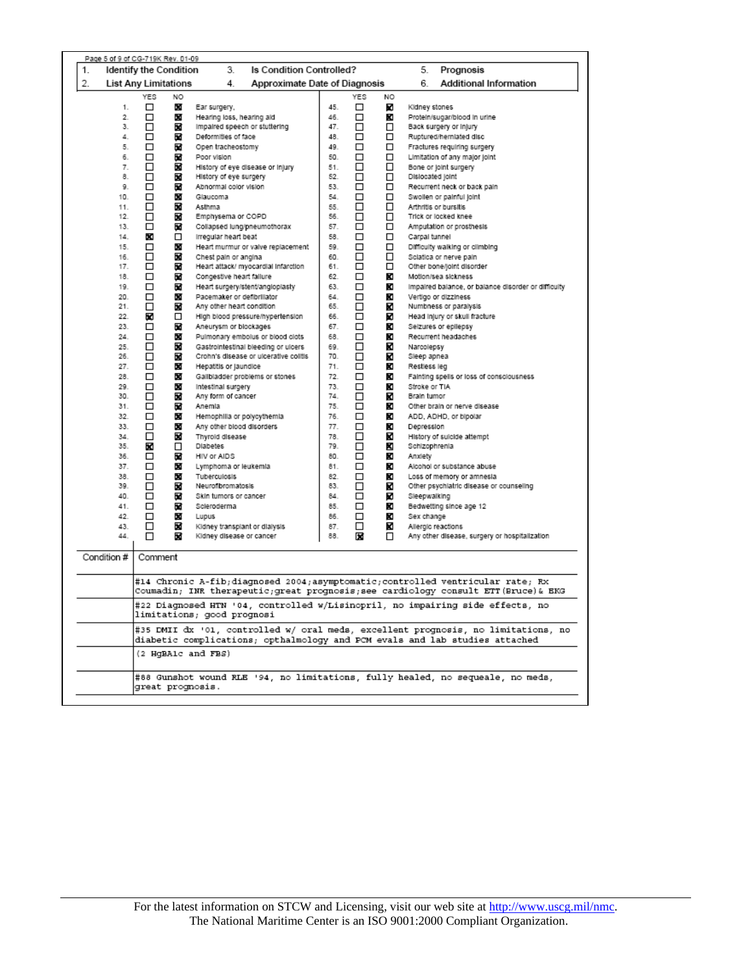| Page 5 of 9 of CG-719K Rev. 01-09 |                                                                                                                                                                  |    |                                                                               |     |     |    |                    |                                                                                  |
|-----------------------------------|------------------------------------------------------------------------------------------------------------------------------------------------------------------|----|-------------------------------------------------------------------------------|-----|-----|----|--------------------|----------------------------------------------------------------------------------|
| 1.                                | Identify the Condition                                                                                                                                           |    | 3.<br>Is Condition Controlled?                                                |     |     |    | 5.                 | Prognosis                                                                        |
| 2.                                | <b>List Any Limitations</b>                                                                                                                                      |    | 4.<br>Approximate Date of Diagnosis                                           |     |     |    | 6.                 | Additional Information                                                           |
|                                   | YES                                                                                                                                                              | NO |                                                                               |     | YES | NO |                    |                                                                                  |
| 1.                                | □                                                                                                                                                                | ×  |                                                                               | 45. | □   | K  |                    |                                                                                  |
| 2.                                | □                                                                                                                                                                |    | Ear surgery,                                                                  | 46. | □   |    | Kidney stones      | Protein/sugar/blood in urine                                                     |
| з.                                |                                                                                                                                                                  | ×  | Hearing loss, hearing aid                                                     | 47. |     | K  |                    |                                                                                  |
|                                   | □                                                                                                                                                                | ×  | impaired speech or stuttering                                                 |     | □   | □  |                    | Back surgery or injury                                                           |
| 4.                                | □                                                                                                                                                                | ×  | Deformities of face                                                           | 48. | □   | □  |                    | Ruptured/hernlated disc                                                          |
| 5.                                | □                                                                                                                                                                | ×  | Open tracheostomy                                                             | 49. | □   | □  |                    | Fractures requiring surgery                                                      |
| 6.                                | □                                                                                                                                                                | ×  | Poor vision                                                                   | 50. | □   | □  |                    | Limitation of any major joint                                                    |
| 7.                                | □                                                                                                                                                                | ×  | History of eye disease or injury                                              | 51. | □   | □  |                    | Bone or joint surgery                                                            |
| 8.                                | □                                                                                                                                                                | X  | History of eye surgery                                                        | 52. | □   | □  | Dislocated joint   |                                                                                  |
| 9.                                | □                                                                                                                                                                | ×  | Abnormal color vision                                                         | 53. | □   | □  |                    | Recurrent neck or back pain                                                      |
| 10.                               | □                                                                                                                                                                | ×  | Glaucoma                                                                      | 54. | □   | □  |                    | Swollen or painful joint                                                         |
| 11.                               | □                                                                                                                                                                | ×  | Asthma                                                                        | 55. | □   | □  |                    | Arthritis or bursitis                                                            |
| 12.                               | □                                                                                                                                                                | ×  | Emphysema or COPD                                                             | 56. | □   | □  |                    | Trick or locked knee                                                             |
| 13.                               | □                                                                                                                                                                | ×  | Collapsed lung/pneumothorax                                                   | 57. | □   | □  |                    | Amputation or prosthesis                                                         |
| 14.                               | x                                                                                                                                                                | □  | Irregular heart beat                                                          | 58. | □   | □  | Carpal tunnel      |                                                                                  |
| 15.                               | □                                                                                                                                                                | ×  | Heart murmur or valve replacement                                             | 59. | □   | □  |                    | Difficulty walking or climbing                                                   |
| 16.                               | □                                                                                                                                                                | ×  | Chest pain or angina                                                          | 60. | □   | □  |                    | Sciatica or nerve pain                                                           |
| 17.                               | □                                                                                                                                                                | ×  | Heart attack/ myocardial infarction                                           | 61. | □   | □  |                    | Other bone/joint disorder                                                        |
| 18.                               | □                                                                                                                                                                | ×  | Congestive heart failure                                                      | 62. | □   | K  |                    | Motion/sea sickness                                                              |
| 19.                               | □                                                                                                                                                                | ø  | Heart surgery/stent/angloplasty                                               | 63. | □   | K  |                    | impaired balance, or balance disorder or difficulty                              |
| 20.                               | □                                                                                                                                                                | ×  | Pacemaker or defibriliator                                                    | 64. | □   | K  |                    | Vertigo or dizziness                                                             |
| 21.                               | □                                                                                                                                                                | ×  | Any other heart condition                                                     | 65. | □   | ĸ  |                    | Numbness or paralysis                                                            |
| 22.                               | ×                                                                                                                                                                | □  | High blood pressure/hypertension                                              | 66. | □   | K  |                    | Head injury or skull fracture                                                    |
| 23.                               | □                                                                                                                                                                | ×  | Aneurysm or blockages                                                         | 67. | □   | ĸ  |                    | Seizures or epilepsy                                                             |
| 24.                               | □                                                                                                                                                                | ×  | Pulmonary embolus or blood clots                                              | 68. | □   | ĸ  |                    | Recurrent headaches                                                              |
| 25.                               | □                                                                                                                                                                | ×  | Gastrointestinal bleeding or ulcers                                           | 69. | □   | K  | Narcolepsy         |                                                                                  |
| 26.                               | □                                                                                                                                                                | ×  | Crohn's disease or ulcerative colitis                                         | 70. | □   | K  | Sleep apnea        |                                                                                  |
| 27.                               | □                                                                                                                                                                | x  | Hepatitis or jaundice                                                         | 71. | □   | K  | Restless leg       |                                                                                  |
| 28.                               | □                                                                                                                                                                | x  | Gallbladder problems or stones                                                | 72. | □   | K  |                    | Fainting spells or loss of consciousness                                         |
| 29.                               | □                                                                                                                                                                | ×  | Intestinal surgery                                                            | 73. | □   | K  | Stroke or TIA      |                                                                                  |
| 30.                               | □                                                                                                                                                                | ×  | Any form of cancer                                                            | 74. | □   | K  | Brain tumor        |                                                                                  |
| 31.                               | □                                                                                                                                                                | ×  | Anemia                                                                        | 75. | □   | ĸ  |                    | Other brain or nerve disease                                                     |
| 32.                               | □                                                                                                                                                                | ×  | Hemophilla or polycythemia                                                    | 76. | □   | ĸ  |                    | ADD, ADHD, or bipolar                                                            |
| 33.                               | □                                                                                                                                                                | ×  | Any other blood disorders                                                     | 77. | □   | ĸ  | Depression         |                                                                                  |
| 34.                               | ◻                                                                                                                                                                | X  | Thyroid disease                                                               | 78. | □   | K  |                    | History of suicide attempt                                                       |
| 35.                               | ×                                                                                                                                                                | □  | <b>Diabetes</b>                                                               | 79. | □   | ×  | Schizophrenia      |                                                                                  |
| 36.                               | □                                                                                                                                                                | ×  | HIV or AIDS                                                                   | 80. | □   | K  | Anxiety            |                                                                                  |
| 37.                               | □                                                                                                                                                                | ×  | Lymphoma or leukemia                                                          | 81. | □   | x  |                    | Alcohol or substance abuse                                                       |
| 38.                               | □                                                                                                                                                                | ×  | Tuberculosis                                                                  | 82. | □   | K  |                    | Loss of memory or amnesia                                                        |
| 39.                               | □                                                                                                                                                                | ×  | Neurofibromatosis                                                             | 83. | □   | ĸ  |                    | Other psychiatric disease or counseling                                          |
| 40.                               | □                                                                                                                                                                | ×  | Skin tumors or cancer                                                         | 84. | □   | K  | Sleepwalking       |                                                                                  |
| 41.                               | □                                                                                                                                                                | ×  | Scieroderma                                                                   | 85. | □   | K  |                    | Bedwetting since age 12                                                          |
| 42.                               | □                                                                                                                                                                | ×  | Lupus                                                                         | 86. | □   | ĸ  | Sex change         |                                                                                  |
| 43.                               | □                                                                                                                                                                | ×  | Kidney transplant or dialysis                                                 | 87. | □   | ĸ  | Allergic reactions |                                                                                  |
| 44.                               | □                                                                                                                                                                | ×  | Kidney disease or cancer                                                      | 88. | х   | □  |                    | Any other disease, surgery or hospitalization                                    |
|                                   |                                                                                                                                                                  |    |                                                                               |     |     |    |                    |                                                                                  |
| Condition #                       | Comment                                                                                                                                                          |    |                                                                               |     |     |    |                    |                                                                                  |
|                                   |                                                                                                                                                                  |    |                                                                               |     |     |    |                    |                                                                                  |
|                                   |                                                                                                                                                                  |    | #14 Chronic A-fib;diagnosed 2004;asymptomatic;controlled ventricular rate; Rx |     |     |    |                    |                                                                                  |
|                                   |                                                                                                                                                                  |    |                                                                               |     |     |    |                    | Coumadin; INR therapeutic;great prognosis;see cardiology consult ETT(Bruce)& EKG |
|                                   |                                                                                                                                                                  |    |                                                                               |     |     |    |                    |                                                                                  |
|                                   | #22 Diagnosed HTN '04, controlled w/Lisinopril, no impairing side effects, no<br>limitations; good prognosi                                                      |    |                                                                               |     |     |    |                    |                                                                                  |
|                                   | #35 DMII dx '01, controlled w/ oral meds, excellent prognosis, no limitations, no<br>diabetic complications; opthalmology and PCM evals and lab studies attached |    |                                                                               |     |     |    |                    |                                                                                  |
|                                   | (2 HqBA1c and FBS)                                                                                                                                               |    |                                                                               |     |     |    |                    |                                                                                  |
|                                   |                                                                                                                                                                  |    |                                                                               |     |     |    |                    |                                                                                  |
|                                   | #88 Gunshot wound RLE '94, no limitations, fully healed, no sequeale, no meds,<br>great prognosis.                                                               |    |                                                                               |     |     |    |                    |                                                                                  |
|                                   |                                                                                                                                                                  |    |                                                                               |     |     |    |                    |                                                                                  |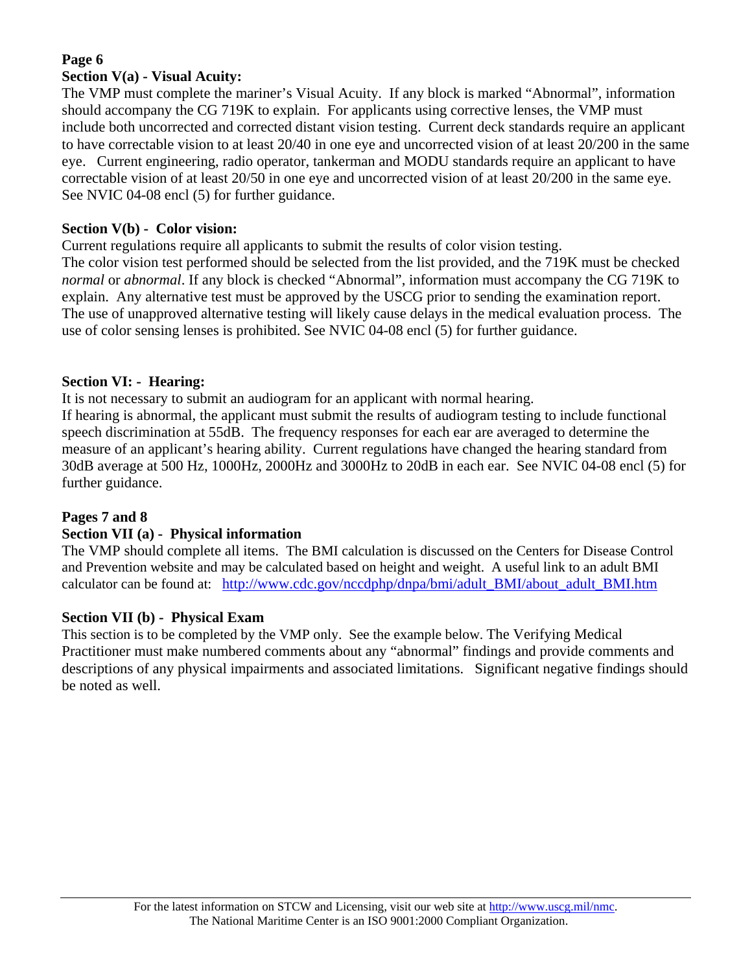#### **Page 6 Section V(a) - Visual Acuity:**

The VMP must complete the mariner's Visual Acuity. If any block is marked "Abnormal", information should accompany the CG 719K to explain. For applicants using corrective lenses, the VMP must include both uncorrected and corrected distant vision testing. Current deck standards require an applicant to have correctable vision to at least 20/40 in one eye and uncorrected vision of at least 20/200 in the same eye. Current engineering, radio operator, tankerman and MODU standards require an applicant to have correctable vision of at least 20/50 in one eye and uncorrected vision of at least 20/200 in the same eye. See NVIC 04-08 encl (5) for further guidance.

## **Section V(b) - Color vision:**

Current regulations require all applicants to submit the results of color vision testing. The color vision test performed should be selected from the list provided, and the 719K must be checked *normal* or *abnormal*. If any block is checked "Abnormal", information must accompany the CG 719K to explain. Any alternative test must be approved by the USCG prior to sending the examination report. The use of unapproved alternative testing will likely cause delays in the medical evaluation process. The use of color sensing lenses is prohibited. See NVIC 04-08 encl (5) for further guidance.

# **Section VI: - Hearing:**

It is not necessary to submit an audiogram for an applicant with normal hearing.

If hearing is abnormal, the applicant must submit the results of audiogram testing to include functional speech discrimination at 55dB. The frequency responses for each ear are averaged to determine the measure of an applicant's hearing ability. Current regulations have changed the hearing standard from 30dB average at 500 Hz, 1000Hz, 2000Hz and 3000Hz to 20dB in each ear. See NVIC 04-08 encl (5) for further guidance.

## **Pages 7 and 8**

## **Section VII (a) - Physical information**

The VMP should complete all items. The BMI calculation is discussed on the Centers for Disease Control and Prevention website and may be calculated based on height and weight. A useful link to an adult BMI calculator can be found at: [http://www.cdc.gov/nccdphp/dnpa/bmi/adult\\_BMI/about\\_adult\\_BMI.htm](http://www.cdc.gov/nccdphp/dnpa/bmi/adult_BMI/about_adult_BMI.htm)

# **Section VII (b) - Physical Exam**

This section is to be completed by the VMP only. See the example below. The Verifying Medical Practitioner must make numbered comments about any "abnormal" findings and provide comments and descriptions of any physical impairments and associated limitations. Significant negative findings should be noted as well.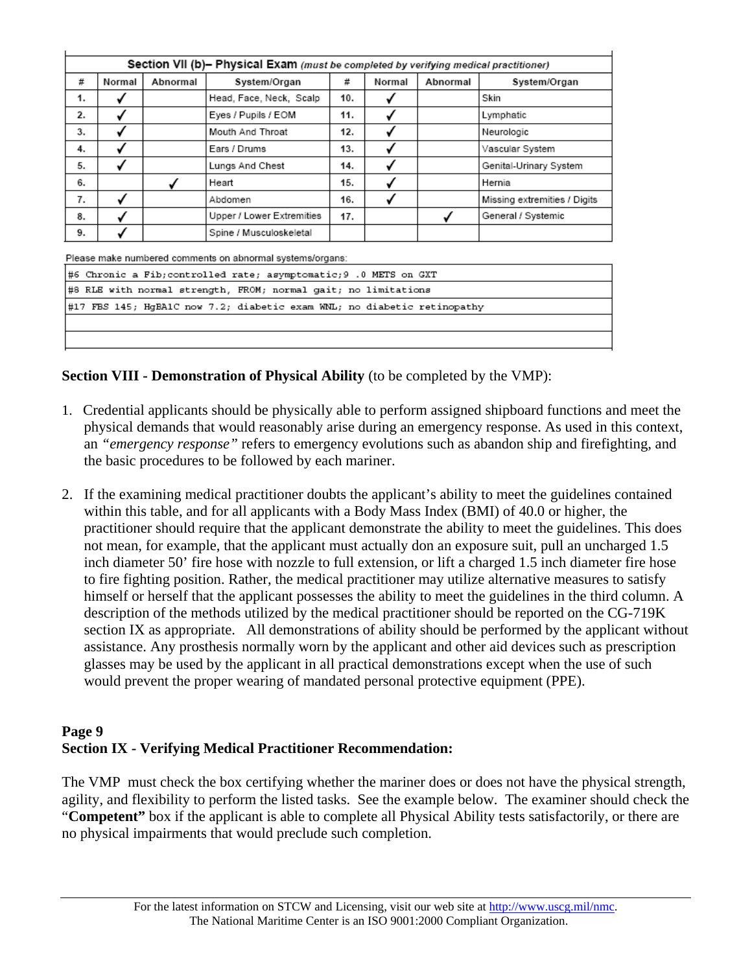| Section VII (b)- Physical Exam (must be completed by verifying medical practitioner) |        |          |                           |     |        |          |                              |
|--------------------------------------------------------------------------------------|--------|----------|---------------------------|-----|--------|----------|------------------------------|
| #                                                                                    | Normal | Abnormal | System/Organ              | #   | Normal | Abnormal | System/Organ                 |
| 1.                                                                                   |        |          | Head, Face, Neck, Scalp   | 10. |        |          | Skin                         |
| 2.                                                                                   |        |          | Eyes / Pupils / EOM       | 11. |        |          | Lymphatic                    |
| 3.                                                                                   |        |          | Mouth And Throat          | 12. |        |          | Neurologic                   |
| 4.                                                                                   |        |          | Ears / Drums              | 13. |        |          | Vascular System              |
| 5.                                                                                   |        |          | Lungs And Chest           | 14. |        |          | Genital-Urinary System       |
| 6.                                                                                   |        |          | Heart                     | 15. |        |          | Hernia                       |
| 7.                                                                                   |        |          | Abdomen                   | 16. |        |          | Missing extremities / Digits |
| 8.                                                                                   |        |          | Upper / Lower Extremities | 17. |        |          | General / Systemic           |
| 9.                                                                                   |        |          | Spine / Musculoskeletal   |     |        |          |                              |

Please make numbered comments on abnormal systems/organs:

| #6 Chronic a Fib;controlled rate; asymptomatic;9 .0 METS on GXT         |  |  |  |  |
|-------------------------------------------------------------------------|--|--|--|--|
| #8 RLE with normal strength, FROM; normal gait; no limitations          |  |  |  |  |
| #17 FBS 145; HqBA1C now 7.2; diabetic exam WNL; no diabetic retinopathy |  |  |  |  |
|                                                                         |  |  |  |  |
|                                                                         |  |  |  |  |

**Section VIII - Demonstration of Physical Ability** (to be completed by the VMP):

- 1. Credential applicants should be physically able to perform assigned shipboard functions and meet the physical demands that would reasonably arise during an emergency response. As used in this context, an *"emergency response"* refers to emergency evolutions such as abandon ship and firefighting, and the basic procedures to be followed by each mariner.
- 2. If the examining medical practitioner doubts the applicant's ability to meet the guidelines contained within this table, and for all applicants with a Body Mass Index (BMI) of 40.0 or higher, the practitioner should require that the applicant demonstrate the ability to meet the guidelines. This does not mean, for example, that the applicant must actually don an exposure suit, pull an uncharged 1.5 inch diameter 50' fire hose with nozzle to full extension, or lift a charged 1.5 inch diameter fire hose to fire fighting position. Rather, the medical practitioner may utilize alternative measures to satisfy himself or herself that the applicant possesses the ability to meet the guidelines in the third column. A description of the methods utilized by the medical practitioner should be reported on the CG-719K section IX as appropriate. All demonstrations of ability should be performed by the applicant without assistance. Any prosthesis normally worn by the applicant and other aid devices such as prescription glasses may be used by the applicant in all practical demonstrations except when the use of such would prevent the proper wearing of mandated personal protective equipment (PPE).

## **Page 9 Section IX - Verifying Medical Practitioner Recommendation:**

The VMP must check the box certifying whether the mariner does or does not have the physical strength, agility, and flexibility to perform the listed tasks. See the example below. The examiner should check the "**Competent"** box if the applicant is able to complete all Physical Ability tests satisfactorily, or there are no physical impairments that would preclude such completion.